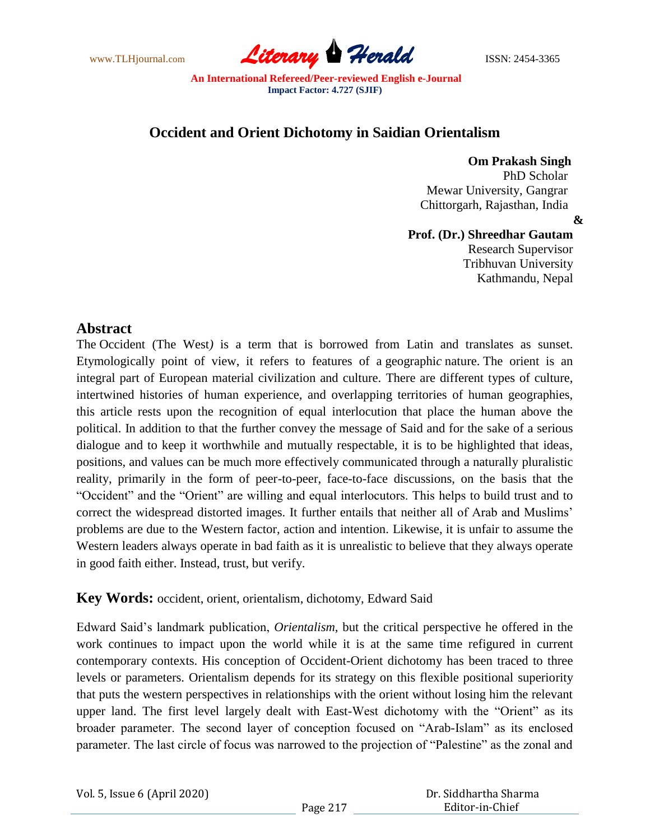

## **Occident and Orient Dichotomy in Saidian Orientalism**

 **Om Prakash Singh** PhD Scholar Mewar University, Gangrar Chittorgarh, Rajasthan, India

**&**

#### **Prof. (Dr.) Shreedhar Gautam** Research Supervisor

Tribhuvan University Kathmandu, Nepal

# **Abstract**

The Occident (The West*)* is a term that is borrowed from Latin and translates as sunset. Etymologically point of view, it refers to features of a geographi*c* nature. The orient is an integral part of European material civilization and culture. There are different types of culture, intertwined histories of human experience, and overlapping territories of human geographies, this article rests upon the recognition of equal interlocution that place the human above the political. In addition to that the further convey the message of Said and for the sake of a serious dialogue and to keep it worthwhile and mutually respectable, it is to be highlighted that ideas, positions, and values can be much more effectively communicated through a naturally pluralistic reality, primarily in the form of peer-to-peer, face-to-face discussions, on the basis that the "Occident" and the "Orient" are willing and equal interlocutors. This helps to build trust and to correct the widespread distorted images. It further entails that neither all of Arab and Muslims' problems are due to the Western factor, action and intention. Likewise, it is unfair to assume the Western leaders always operate in bad faith as it is unrealistic to believe that they always operate in good faith either. Instead, trust, but verify.

### **Key Words:** occident, orient, orientalism, dichotomy, Edward Said

Edward Said"s landmark publication, *Orientalism*, but the critical perspective he offered in the work continues to impact upon the world while it is at the same time refigured in current contemporary contexts. His conception of Occident-Orient dichotomy has been traced to three levels or parameters. Orientalism depends for its strategy on this flexible positional superiority that puts the western perspectives in relationships with the orient without losing him the relevant upper land. The first level largely dealt with East-West dichotomy with the "Orient" as its broader parameter. The second layer of conception focused on "Arab-Islam" as its enclosed parameter. The last circle of focus was narrowed to the projection of "Palestine" as the zonal and

| Vol. 5, Issue 6 (April 2020) |  |  |  |
|------------------------------|--|--|--|
|------------------------------|--|--|--|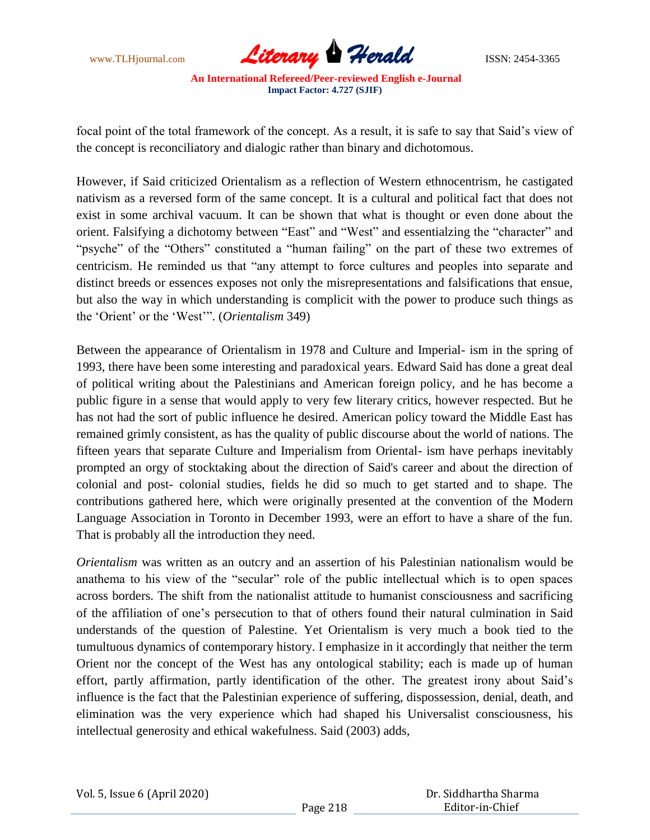

focal point of the total framework of the concept. As a result, it is safe to say that Said"s view of the concept is reconciliatory and dialogic rather than binary and dichotomous.

However, if Said criticized Orientalism as a reflection of Western ethnocentrism, he castigated nativism as a reversed form of the same concept. It is a cultural and political fact that does not exist in some archival vacuum. It can be shown that what is thought or even done about the orient. Falsifying a dichotomy between "East" and "West" and essentialzing the "character" and "psyche" of the "Others" constituted a "human failing" on the part of these two extremes of centricism. He reminded us that "any attempt to force cultures and peoples into separate and distinct breeds or essences exposes not only the misrepresentations and falsifications that ensue, but also the way in which understanding is complicit with the power to produce such things as the "Orient" or the "West"". (*Orientalism* 349)

Between the appearance of Orientalism in 1978 and Culture and Imperial- ism in the spring of 1993, there have been some interesting and paradoxical years. Edward Said has done a great deal of political writing about the Palestinians and American foreign policy, and he has become a public figure in a sense that would apply to very few literary critics, however respected. But he has not had the sort of public influence he desired. American policy toward the Middle East has remained grimly consistent, as has the quality of public discourse about the world of nations. The fifteen years that separate Culture and Imperialism from Oriental- ism have perhaps inevitably prompted an orgy of stocktaking about the direction of Said's career and about the direction of colonial and post- colonial studies, fields he did so much to get started and to shape. The contributions gathered here, which were originally presented at the convention of the Modern Language Association in Toronto in December 1993, were an effort to have a share of the fun. That is probably all the introduction they need.

*Orientalism* was written as an outcry and an assertion of his Palestinian nationalism would be anathema to his view of the "secular" role of the public intellectual which is to open spaces across borders. The shift from the nationalist attitude to humanist consciousness and sacrificing of the affiliation of one"s persecution to that of others found their natural culmination in Said understands of the question of Palestine. Yet Orientalism is very much a book tied to the tumultuous dynamics of contemporary history. I emphasize in it accordingly that neither the term Orient nor the concept of the West has any ontological stability; each is made up of human effort, partly affirmation, partly identification of the other. The greatest irony about Said"s influence is the fact that the Palestinian experience of suffering, dispossession, denial, death, and elimination was the very experience which had shaped his Universalist consciousness, his intellectual generosity and ethical wakefulness. Said (2003) adds,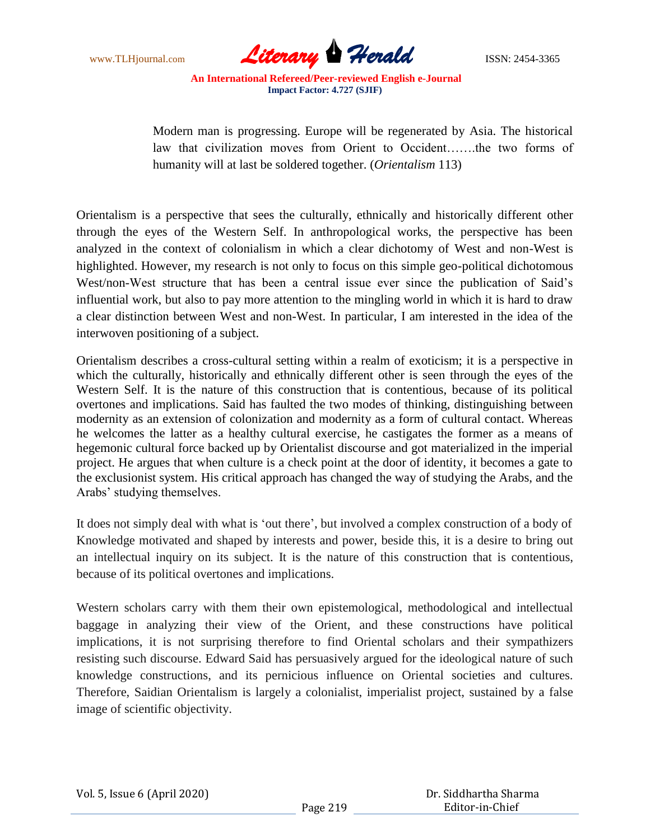

Modern man is progressing. Europe will be regenerated by Asia. The historical law that civilization moves from Orient to Occident…….the two forms of humanity will at last be soldered together. (*Orientalism* 113)

Orientalism is a perspective that sees the culturally, ethnically and historically different other through the eyes of the Western Self. In anthropological works, the perspective has been analyzed in the context of colonialism in which a clear dichotomy of West and non-West is highlighted. However, my research is not only to focus on this simple geo-political dichotomous West/non-West structure that has been a central issue ever since the publication of Said"s influential work, but also to pay more attention to the mingling world in which it is hard to draw a clear distinction between West and non-West. In particular, I am interested in the idea of the interwoven positioning of a subject.

Orientalism describes a cross-cultural setting within a realm of exoticism; it is a perspective in which the culturally, historically and ethnically different other is seen through the eyes of the Western Self. It is the nature of this construction that is contentious, because of its political overtones and implications. Said has faulted the two modes of thinking, distinguishing between modernity as an extension of colonization and modernity as a form of cultural contact. Whereas he welcomes the latter as a healthy cultural exercise, he castigates the former as a means of hegemonic cultural force backed up by Orientalist discourse and got materialized in the imperial project. He argues that when culture is a check point at the door of identity, it becomes a gate to the exclusionist system. His critical approach has changed the way of studying the Arabs, and the Arabs" studying themselves.

It does not simply deal with what is "out there", but involved a complex construction of a body of Knowledge motivated and shaped by interests and power, beside this, it is a desire to bring out an intellectual inquiry on its subject. It is the nature of this construction that is contentious, because of its political overtones and implications.

Western scholars carry with them their own epistemological, methodological and intellectual baggage in analyzing their view of the Orient, and these constructions have political implications, it is not surprising therefore to find Oriental scholars and their sympathizers resisting such discourse. Edward Said has persuasively argued for the ideological nature of such knowledge constructions, and its pernicious influence on Oriental societies and cultures. Therefore, Saidian Orientalism is largely a colonialist, imperialist project, sustained by a false image of scientific objectivity.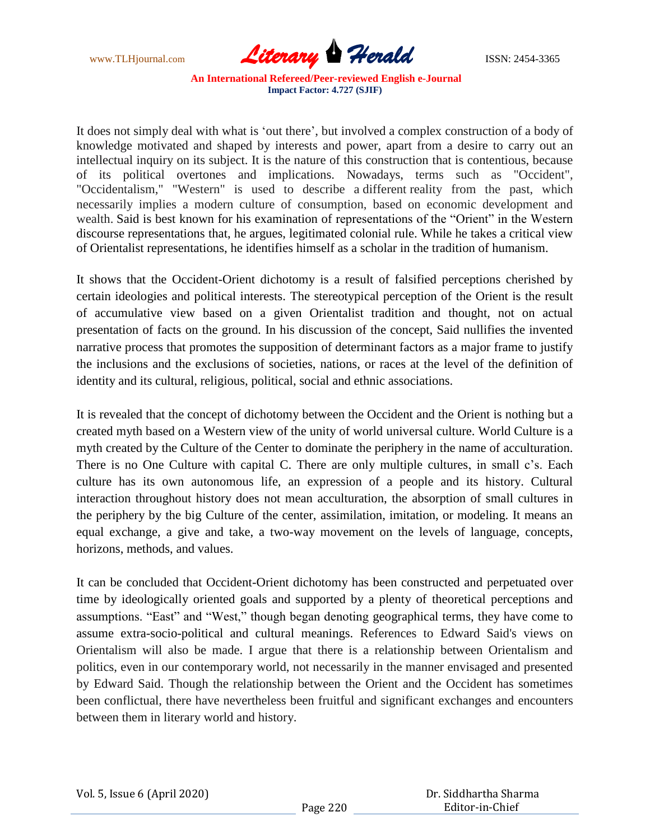

It does not simply deal with what is "out there", but involved a complex construction of a body of knowledge motivated and shaped by interests and power, apart from a desire to carry out an intellectual inquiry on its subject. It is the nature of this construction that is contentious, because of its political overtones and implications. Nowadays, terms such as "Occident", "Occidentalism," "Western" is used to describe a different reality from the past, which necessarily implies a modern culture of consumption, based on economic development and wealth. Said is best known for his examination of representations of the "Orient" in the Western discourse representations that, he argues, legitimated colonial rule. While he takes a critical view of Orientalist representations, he identifies himself as a scholar in the tradition of humanism.

It shows that the Occident-Orient dichotomy is a result of falsified perceptions cherished by certain ideologies and political interests. The stereotypical perception of the Orient is the result of accumulative view based on a given Orientalist tradition and thought, not on actual presentation of facts on the ground. In his discussion of the concept, Said nullifies the invented narrative process that promotes the supposition of determinant factors as a major frame to justify the inclusions and the exclusions of societies, nations, or races at the level of the definition of identity and its cultural, religious, political, social and ethnic associations.

It is revealed that the concept of dichotomy between the Occident and the Orient is nothing but a created myth based on a Western view of the unity of world universal culture. World Culture is a myth created by the Culture of the Center to dominate the periphery in the name of acculturation. There is no One Culture with capital C. There are only multiple cultures, in small c's. Each culture has its own autonomous life, an expression of a people and its history. Cultural interaction throughout history does not mean acculturation, the absorption of small cultures in the periphery by the big Culture of the center, assimilation, imitation, or modeling. It means an equal exchange, a give and take, a two-way movement on the levels of language, concepts, horizons, methods, and values.

It can be concluded that Occident-Orient dichotomy has been constructed and perpetuated over time by ideologically oriented goals and supported by a plenty of theoretical perceptions and assumptions. "East" and "West," though began denoting geographical terms, they have come to assume extra-socio-political and cultural meanings. References to Edward Said's views on Orientalism will also be made. I argue that there is a relationship between Orientalism and politics, even in our contemporary world, not necessarily in the manner envisaged and presented by Edward Said. Though the relationship between the Orient and the Occident has sometimes been conflictual, there have nevertheless been fruitful and significant exchanges and encounters between them in literary world and history.